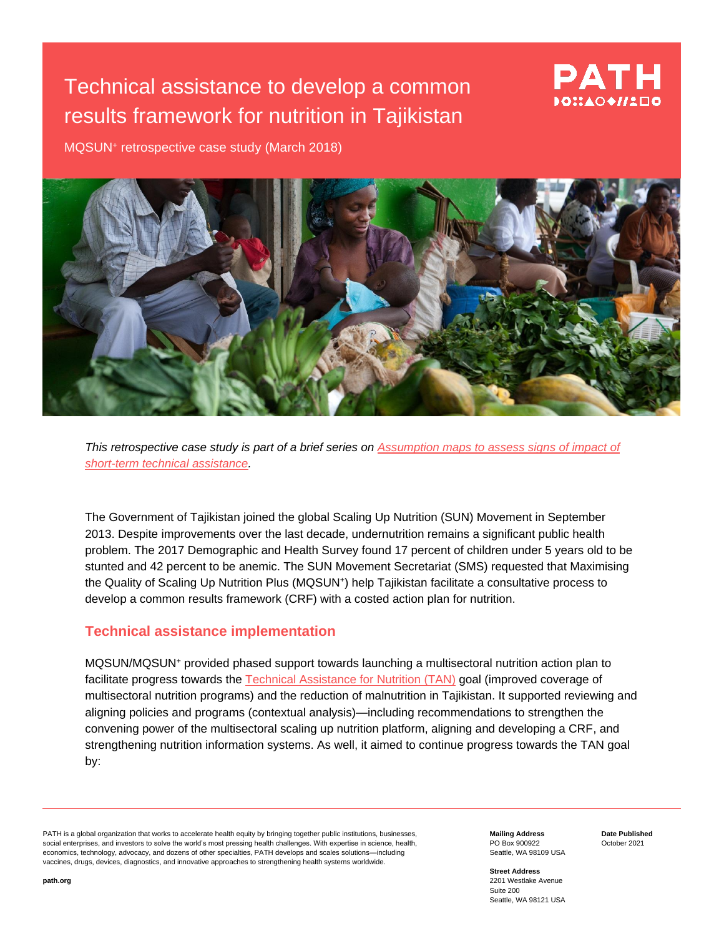# Technical assistance to develop a common results framework for nutrition in Tajikistan

# PATH  $0$ :140 $\blacklozenge$

MQSUN<sup>+</sup> retrospective case study (March 2018)



*This retrospective case study is part of a brief series on [Assumption maps to assess signs of](https://mqsunplus.path.org/resources/assumption-maps-to-assess-signs-of-impact-of-short-term-technical-assistance/) impact of [short-term technical assistance.](https://mqsunplus.path.org/resources/assumption-maps-to-assess-signs-of-impact-of-short-term-technical-assistance/)*

The Government of Tajikistan joined the global Scaling Up Nutrition (SUN) Movement in September 2013. Despite improvements over the last decade, undernutrition remains a significant public health problem. The 2017 Demographic and Health Survey found 17 percent of children under 5 years old to be stunted and 42 percent to be anemic. The SUN Movement Secretariat (SMS) requested that Maximising the Quality of Scaling Up Nutrition Plus (MQSUN<sup>+</sup> ) help Tajikistan facilitate a consultative process to develop a common results framework (CRF) with a costed action plan for nutrition.

### **Technical assistance implementation**

MQSUN/MQSUN<sup>+</sup> provided phased support towards launching a multisectoral nutrition action plan to facilitate progress towards the [Technical Assistance for Nutrition \(TAN\)](https://mqsunplus.path.org/about-technical-assistance-for-nutrition-tan/) goal (improved coverage of multisectoral nutrition programs) and the reduction of malnutrition in Tajikistan. It supported reviewing and aligning policies and programs (contextual analysis)—including recommendations to strengthen the convening power of the multisectoral scaling up nutrition platform, aligning and developing a CRF, and strengthening nutrition information systems. As well, it aimed to continue progress towards the TAN goal by:

PATH is a global organization that works to accelerate health equity by bringing together public institutions, businesses, social enterprises, and investors to solve the world's most pressing health challenges. With expertise in science, health, economics, technology, advocacy, and dozens of other specialties, PATH develops and scales solutions—including vaccines, drugs, devices, diagnostics, and innovative approaches to strengthening health systems worldwide.

**Mailing Address** PO Box 900922 Seattle, WA 98109 USA **Date Published** October 2021

**Street Address** 2201 Westlake Avenue Suite 200 Seattle, WA 98121 USA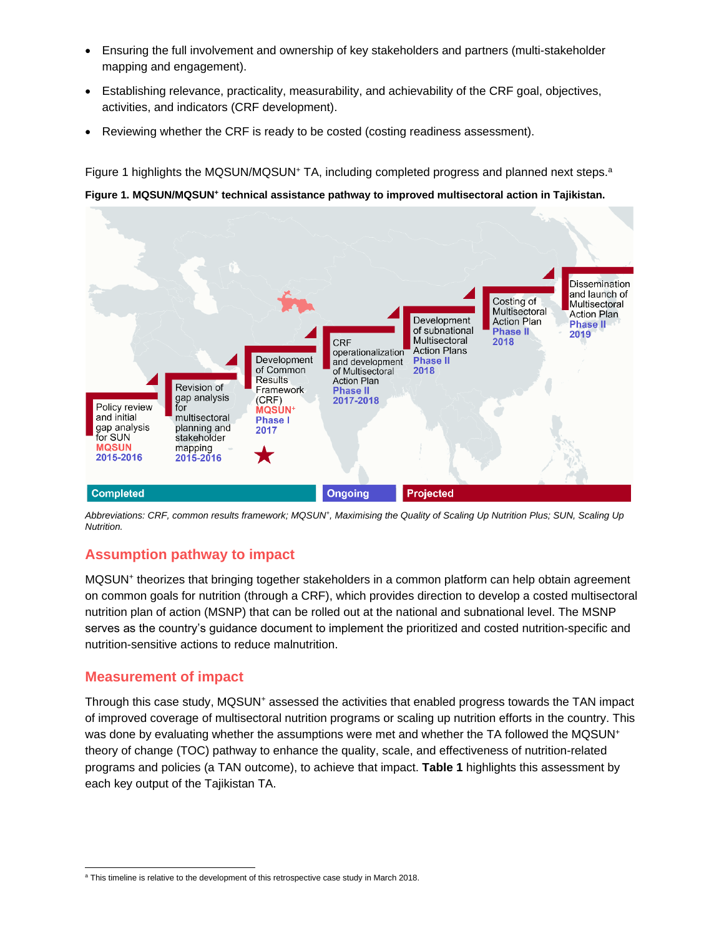- Ensuring the full involvement and ownership of key stakeholders and partners (multi-stakeholder mapping and engagement).
- Establishing relevance, practicality, measurability, and achievability of the CRF goal, objectives, activities, and indicators (CRF development).
- Reviewing whether the CRF is ready to be costed (costing readiness assessment).

Figure 1 highlights the MQSUN/MQSUN<sup>+</sup> TA, including completed progress and planned next steps.<sup>a</sup> **Figure 1. MQSUN/MQSUN<sup>+</sup> technical assistance pathway to improved multisectoral action in Tajikistan.** 



*Abbreviations: CRF, common results framework; MQSUN<sup>+</sup> , Maximising the Quality of Scaling Up Nutrition Plus; SUN, Scaling Up Nutrition.*

## **Assumption pathway to impact**

MQSUN<sup>+</sup> theorizes that bringing together stakeholders in a common platform can help obtain agreement on common goals for nutrition (through a CRF), which provides direction to develop a costed multisectoral nutrition plan of action (MSNP) that can be rolled out at the national and subnational level. The MSNP serves as the country's guidance document to implement the prioritized and costed nutrition-specific and nutrition-sensitive actions to reduce malnutrition.

## **Measurement of impact**

Through this case study, MQSUN<sup>+</sup> assessed the activities that enabled progress towards the TAN impact of improved coverage of multisectoral nutrition programs or scaling up nutrition efforts in the country. This was done by evaluating whether the assumptions were met and whether the TA followed the MQSUN<sup>+</sup> theory of change (TOC) pathway to enhance the quality, scale, and effectiveness of nutrition-related programs and policies (a TAN outcome), to achieve that impact. **Table 1** highlights this assessment by each key output of the Tajikistan TA.

<sup>&</sup>lt;sup>a</sup> This timeline is relative to the development of this retrospective case study in March 2018.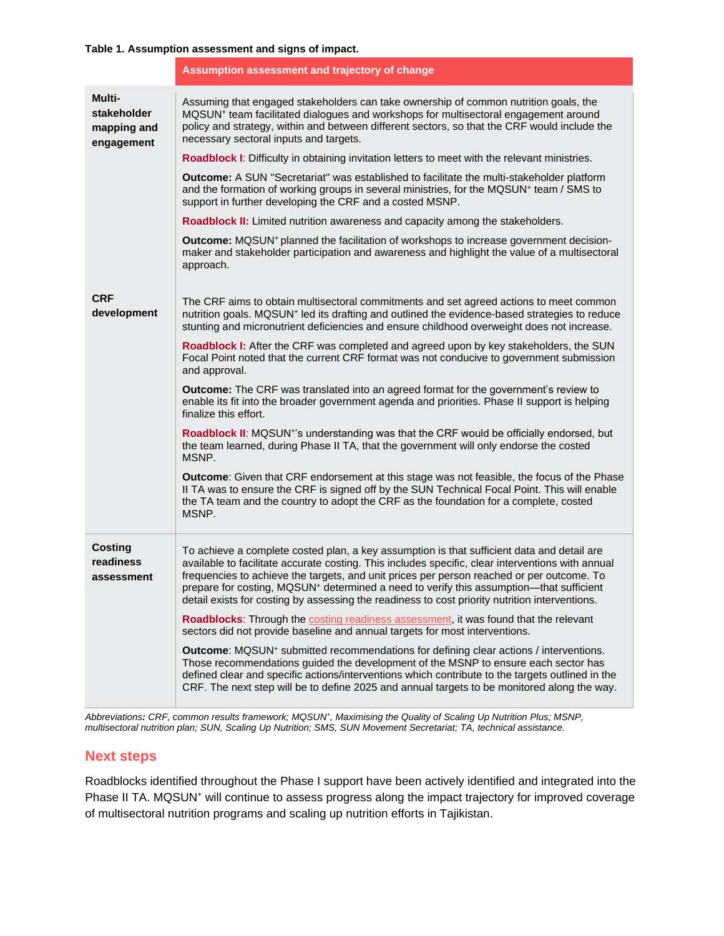#### **Table 1. Assumption assessment and signs of impact.**

|                                                    | Assumption assessment and trajectory of change                                                                                                                                                                                                                                                                                                                                                                                                                                                                                                                                                                                                                                                                                                                                                                                                                                 |
|----------------------------------------------------|--------------------------------------------------------------------------------------------------------------------------------------------------------------------------------------------------------------------------------------------------------------------------------------------------------------------------------------------------------------------------------------------------------------------------------------------------------------------------------------------------------------------------------------------------------------------------------------------------------------------------------------------------------------------------------------------------------------------------------------------------------------------------------------------------------------------------------------------------------------------------------|
| Multi-<br>stakeholder<br>mapping and<br>engagement | Assuming that engaged stakeholders can take ownership of common nutrition goals, the<br>MQSUN <sup>+</sup> team facilitated dialogues and workshops for multisectoral engagement around<br>policy and strategy, within and between different sectors, so that the CRF would include the<br>necessary sectoral inputs and targets.                                                                                                                                                                                                                                                                                                                                                                                                                                                                                                                                              |
|                                                    | Roadblock I: Difficulty in obtaining invitation letters to meet with the relevant ministries.                                                                                                                                                                                                                                                                                                                                                                                                                                                                                                                                                                                                                                                                                                                                                                                  |
|                                                    | <b>Outcome:</b> A SUN "Secretariat" was established to facilitate the multi-stakeholder platform<br>and the formation of working groups in several ministries, for the MQSUN+ team / SMS to<br>support in further developing the CRF and a costed MSNP.                                                                                                                                                                                                                                                                                                                                                                                                                                                                                                                                                                                                                        |
|                                                    | Roadblock II: Limited nutrition awareness and capacity among the stakeholders.                                                                                                                                                                                                                                                                                                                                                                                                                                                                                                                                                                                                                                                                                                                                                                                                 |
|                                                    | Outcome: MQSUN <sup>+</sup> planned the facilitation of workshops to increase government decision-<br>maker and stakeholder participation and awareness and highlight the value of a multisectoral<br>approach.                                                                                                                                                                                                                                                                                                                                                                                                                                                                                                                                                                                                                                                                |
| <b>CRF</b><br>development                          | The CRF aims to obtain multisectoral commitments and set agreed actions to meet common<br>nutrition goals. MQSUN <sup>+</sup> led its drafting and outlined the evidence-based strategies to reduce<br>stunting and micronutrient deficiencies and ensure childhood overweight does not increase.                                                                                                                                                                                                                                                                                                                                                                                                                                                                                                                                                                              |
|                                                    | Roadblock I: After the CRF was completed and agreed upon by key stakeholders, the SUN<br>Focal Point noted that the current CRF format was not conducive to government submission<br>and approval.                                                                                                                                                                                                                                                                                                                                                                                                                                                                                                                                                                                                                                                                             |
|                                                    | Outcome: The CRF was translated into an agreed format for the government's review to<br>enable its fit into the broader government agenda and priorities. Phase II support is helping<br>finalize this effort.                                                                                                                                                                                                                                                                                                                                                                                                                                                                                                                                                                                                                                                                 |
|                                                    | Roadblock II: MQSUN <sup>+</sup> 's understanding was that the CRF would be officially endorsed, but<br>the team learned, during Phase II TA, that the government will only endorse the costed<br>MSNP.                                                                                                                                                                                                                                                                                                                                                                                                                                                                                                                                                                                                                                                                        |
|                                                    | <b>Outcome:</b> Given that CRF endorsement at this stage was not feasible, the focus of the Phase<br>II TA was to ensure the CRF is signed off by the SUN Technical Focal Point. This will enable<br>the TA team and the country to adopt the CRF as the foundation for a complete, costed<br>MSNP.                                                                                                                                                                                                                                                                                                                                                                                                                                                                                                                                                                            |
| <b>Costing</b><br>readiness<br>assessment          | To achieve a complete costed plan, a key assumption is that sufficient data and detail are<br>available to facilitate accurate costing. This includes specific, clear interventions with annual<br>frequencies to achieve the targets, and unit prices per person reached or per outcome. To<br>prepare for costing, MQSUN <sup>+</sup> determined a need to verify this assumption—that sufficient<br>detail exists for costing by assessing the readiness to cost priority nutrition interventions.<br><b>Roadblocks:</b> Through the costing readiness assessment, it was found that the relevant<br>sectors did not provide baseline and annual targets for most interventions.<br>Outcome: MQSUN <sup>+</sup> submitted recommendations for defining clear actions / interventions.<br>Those recommendations guided the development of the MSNP to ensure each sector has |
|                                                    | defined clear and specific actions/interventions which contribute to the targets outlined in the<br>CRF. The next step will be to define 2025 and annual targets to be monitored along the way.                                                                                                                                                                                                                                                                                                                                                                                                                                                                                                                                                                                                                                                                                |

*Abbreviations: CRF, common results framework; MQSUN<sup>+</sup> , Maximising the Quality of Scaling Up Nutrition Plus; MSNP, multisectoral nutrition plan; SUN, Scaling Up Nutrition; SMS, SUN Movement Secretariat; TA, technical assistance.*

### **Next steps**

Roadblocks identified throughout the Phase I support have been actively identified and integrated into the Phase II TA. MQSUN<sup>+</sup> will continue to assess progress along the impact trajectory for improved coverage of multisectoral nutrition programs and scaling up nutrition efforts in Tajikistan.